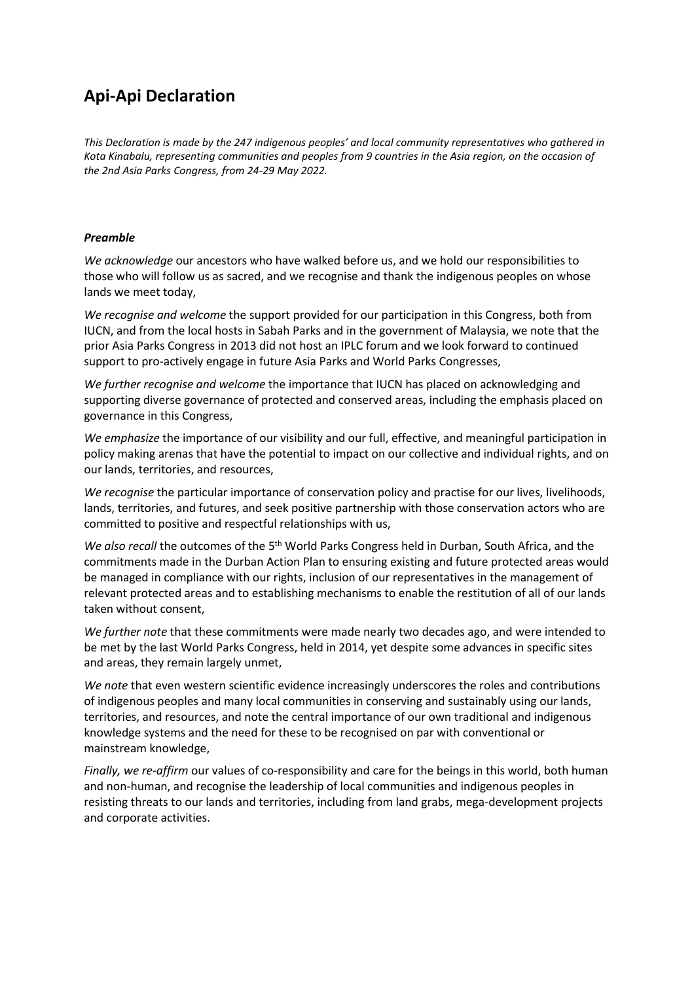## **Api-Api Declaration**

*This Declaration is made by the 247 indigenous peoples' and local community representatives who gathered in* Kota Kinabalu, representing communities and peoples from 9 countries in the Asia region, on the occasion of *the 2nd Asia Parks Congress, from 24-29 May 2022.*

## *Preamble*

*We acknowledge* our ancestors who have walked before us, and we hold our responsibilities to those who will follow us as sacred, and we recognise and thank the indigenous peoples on whose lands we meet today,

*We recognise and welcome* the support provided for our participation in this Congress, both from IUCN, and from the local hosts in Sabah Parks and in the government of Malaysia, we note that the prior Asia Parks Congress in 2013 did not host an IPLC forum and we look forward to continued support to pro-actively engage in future Asia Parks and World Parks Congresses,

*We further recognise and welcome* the importance that IUCN has placed on acknowledging and supporting diverse governance of protected and conserved areas, including the emphasis placed on governance in this Congress,

*We emphasize* the importance of our visibility and our full, effective, and meaningful participation in policy making arenas that have the potential to impact on our collective and individual rights, and on our lands, territories, and resources,

*We recognise* the particular importance of conservation policy and practise for our lives, livelihoods, lands, territories, and futures, and seek positive partnership with those conservation actors who are committed to positive and respectful relationships with us,

We also recall the outcomes of the 5<sup>th</sup> World Parks Congress held in Durban, South Africa, and the commitments made in the Durban Action Plan to ensuring existing and future protected areas would be managed in compliance with our rights, inclusion of our representatives in the management of relevant protected areas and to establishing mechanisms to enable the restitution of all of our lands taken without consent,

*We further note* that these commitments were made nearly two decades ago, and were intended to be met by the last World Parks Congress, held in 2014, yet despite some advances in specific sites and areas, they remain largely unmet,

*We note* that even western scientific evidence increasingly underscores the roles and contributions of indigenous peoples and many local communities in conserving and sustainably using our lands, territories, and resources, and note the central importance of our own traditional and indigenous knowledge systems and the need for these to be recognised on par with conventional or mainstream knowledge,

*Finally, we re-affirm* our values of co-responsibility and care for the beings in this world, both human and non-human, and recognise the leadership of local communities and indigenous peoples in resisting threats to our lands and territories, including from land grabs, mega-development projects and corporate activities.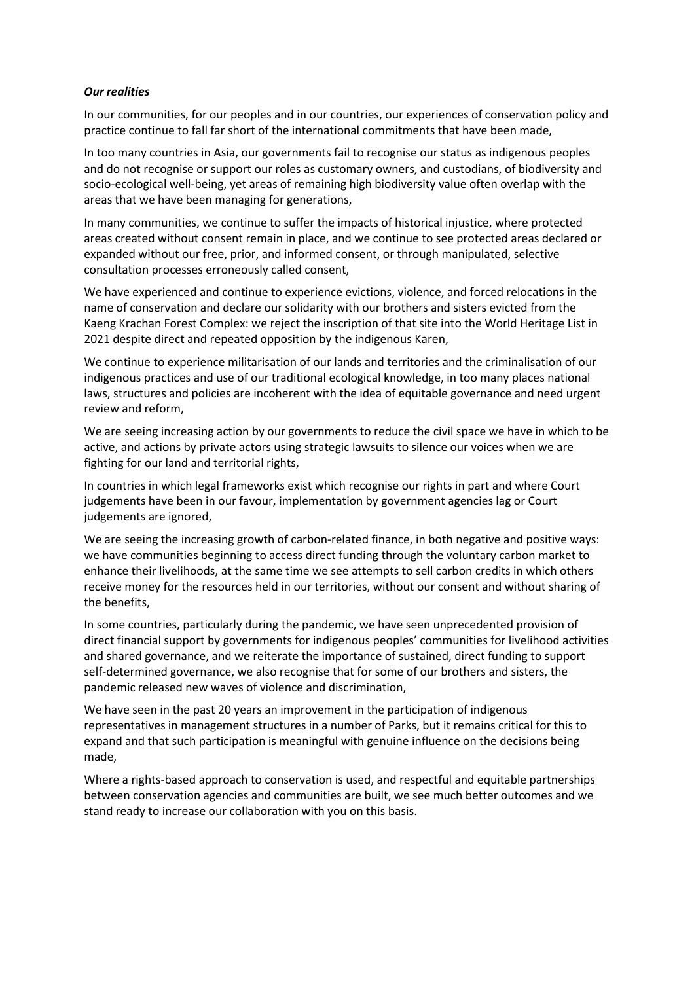## *Our realities*

In our communities, for our peoples and in our countries, our experiences of conservation policy and practice continue to fall far short of the international commitments that have been made,

In too many countries in Asia, our governments fail to recognise our status as indigenous peoples and do not recognise or support our roles as customary owners, and custodians, of biodiversity and socio-ecological well-being, yet areas of remaining high biodiversity value often overlap with the areas that we have been managing for generations,

In many communities, we continue to suffer the impacts of historical injustice, where protected areas created without consent remain in place, and we continue to see protected areas declared or expanded without our free, prior, and informed consent, or through manipulated, selective consultation processes erroneously called consent,

We have experienced and continue to experience evictions, violence, and forced relocations in the name of conservation and declare our solidarity with our brothers and sisters evicted from the Kaeng Krachan Forest Complex: we reject the inscription of that site into the World Heritage List in 2021 despite direct and repeated opposition by the indigenous Karen,

We continue to experience militarisation of our lands and territories and the criminalisation of our indigenous practices and use of our traditional ecological knowledge, in too many places national laws, structures and policies are incoherent with the idea of equitable governance and need urgent review and reform,

We are seeing increasing action by our governments to reduce the civil space we have in which to be active, and actions by private actors using strategic lawsuits to silence our voices when we are fighting for our land and territorial rights,

In countries in which legal frameworks exist which recognise our rights in part and where Court judgements have been in our favour, implementation by government agencies lag or Court judgements are ignored,

We are seeing the increasing growth of carbon-related finance, in both negative and positive ways: we have communities beginning to access direct funding through the voluntary carbon market to enhance their livelihoods, at the same time we see attempts to sell carbon credits in which others receive money for the resources held in our territories, without our consent and without sharing of the benefits,

In some countries, particularly during the pandemic, we have seen unprecedented provision of direct financial support by governments for indigenous peoples' communities for livelihood activities and shared governance, and we reiterate the importance of sustained, direct funding to support self-determined governance, we also recognise that for some of our brothers and sisters, the pandemic released new waves of violence and discrimination,

We have seen in the past 20 years an improvement in the participation of indigenous representatives in management structures in a number of Parks, but it remains critical for this to expand and that such participation is meaningful with genuine influence on the decisions being made,

Where a rights-based approach to conservation is used, and respectful and equitable partnerships between conservation agencies and communities are built, we see much better outcomes and we stand ready to increase our collaboration with you on this basis.